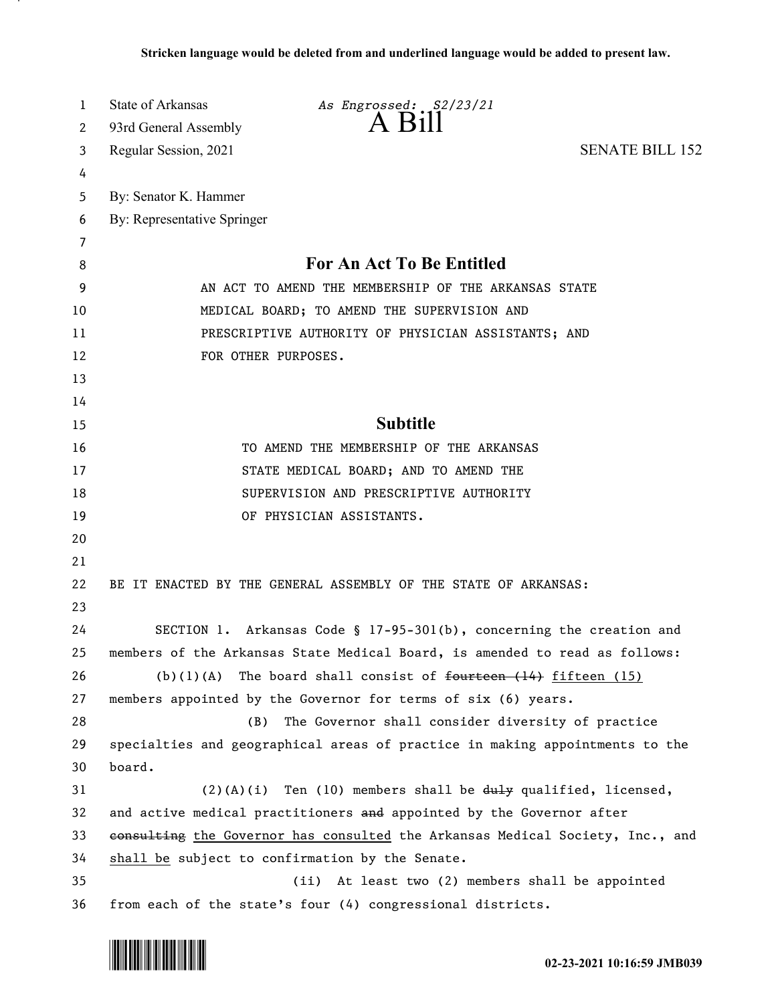| 1                     | <b>State of Arkansas</b>    | As Engrossed: S2/23/21                                                        |                        |
|-----------------------|-----------------------------|-------------------------------------------------------------------------------|------------------------|
| $\mathbf{2}^{\prime}$ | 93rd General Assembly       | $A$ $B1II$                                                                    |                        |
| 3                     | Regular Session, 2021       |                                                                               | <b>SENATE BILL 152</b> |
| 4                     |                             |                                                                               |                        |
| 5                     | By: Senator K. Hammer       |                                                                               |                        |
| 6                     | By: Representative Springer |                                                                               |                        |
| 7                     |                             |                                                                               |                        |
| 8                     |                             | <b>For An Act To Be Entitled</b>                                              |                        |
| 9                     |                             | AN ACT TO AMEND THE MEMBERSHIP OF THE ARKANSAS STATE                          |                        |
| 10                    |                             | MEDICAL BOARD; TO AMEND THE SUPERVISION AND                                   |                        |
| 11                    |                             | PRESCRIPTIVE AUTHORITY OF PHYSICIAN ASSISTANTS; AND                           |                        |
| 12                    |                             | FOR OTHER PURPOSES.                                                           |                        |
| 13                    |                             |                                                                               |                        |
| 14                    |                             |                                                                               |                        |
| 15                    |                             | <b>Subtitle</b>                                                               |                        |
| 16                    |                             | TO AMEND THE MEMBERSHIP OF THE ARKANSAS                                       |                        |
| 17                    |                             | STATE MEDICAL BOARD; AND TO AMEND THE                                         |                        |
| 18                    |                             | SUPERVISION AND PRESCRIPTIVE AUTHORITY                                        |                        |
| 19                    |                             | OF PHYSICIAN ASSISTANTS.                                                      |                        |
| 20                    |                             |                                                                               |                        |
| 21                    |                             |                                                                               |                        |
| 22                    |                             | BE IT ENACTED BY THE GENERAL ASSEMBLY OF THE STATE OF ARKANSAS:               |                        |
| 23                    |                             |                                                                               |                        |
| 24                    |                             | SECTION 1. Arkansas Code § 17-95-301(b), concerning the creation and          |                        |
| 25                    |                             | members of the Arkansas State Medical Board, is amended to read as follows:   |                        |
| 26                    |                             | (b)(1)(A) The board shall consist of $f$ ourteen $(14)$ fifteen $(15)$        |                        |
| 27                    |                             | members appointed by the Governor for terms of six (6) years.                 |                        |
| 28                    | (B)                         | The Governor shall consider diversity of practice                             |                        |
| 29                    |                             | specialties and geographical areas of practice in making appointments to the  |                        |
| 30                    | board.                      |                                                                               |                        |
| 31                    |                             | $(2)(A)(i)$ Ten (10) members shall be $du+y$ qualified, licensed,             |                        |
| 32                    |                             | and active medical practitioners and appointed by the Governor after          |                        |
| 33                    |                             | consulting the Governor has consulted the Arkansas Medical Society, Inc., and |                        |
| 34                    |                             | shall be subject to confirmation by the Senate.                               |                        |
| 35                    |                             | At least two (2) members shall be appointed<br>(ii)                           |                        |
| 36                    |                             | from each of the state's four (4) congressional districts.                    |                        |

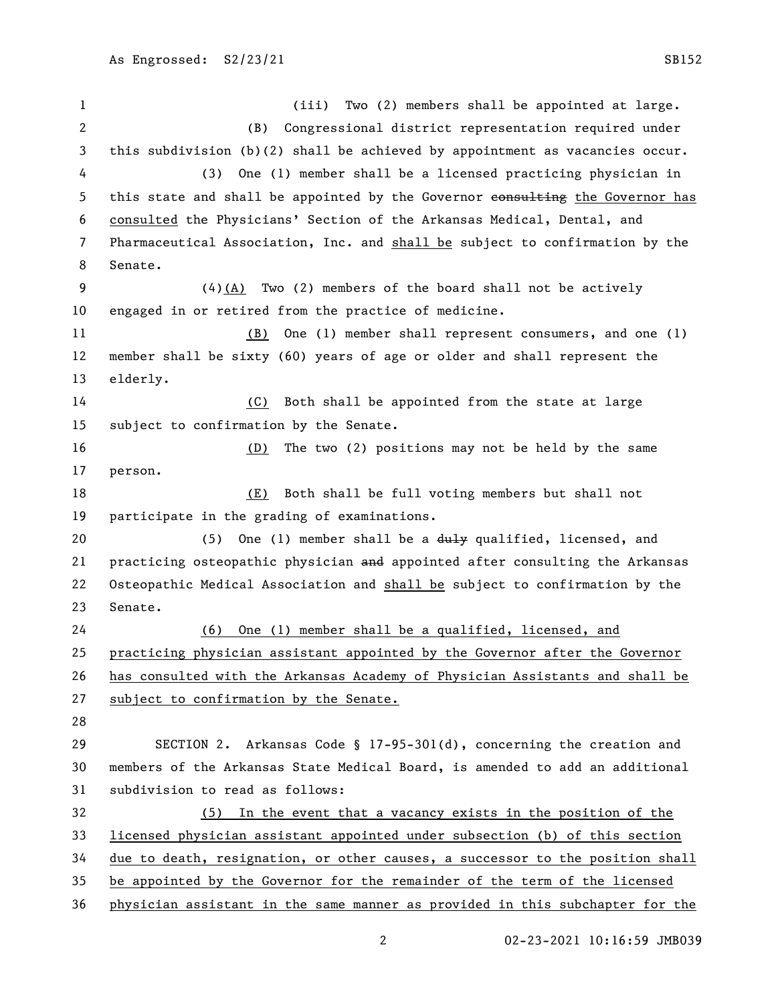(iii) Two (2) members shall be appointed at large. (B) Congressional district representation required under this subdivision (b)(2) shall be achieved by appointment as vacancies occur. (3) One (1) member shall be a licensed practicing physician in 5 this state and shall be appointed by the Governor eonsulting the Governor has consulted the Physicians' Section of the Arkansas Medical, Dental, and Pharmaceutical Association, Inc. and shall be subject to confirmation by the Senate. (4)(A) Two (2) members of the board shall not be actively engaged in or retired from the practice of medicine. (B) One (1) member shall represent consumers, and one (1) member shall be sixty (60) years of age or older and shall represent the elderly. (C) Both shall be appointed from the state at large subject to confirmation by the Senate. (D) The two (2) positions may not be held by the same person. (E) Both shall be full voting members but shall not participate in the grading of examinations. 20 (5) One (1) member shall be a duly qualified, licensed, and 21 practicing osteopathic physician and appointed after consulting the Arkansas Osteopathic Medical Association and shall be subject to confirmation by the Senate. (6) One (1) member shall be a qualified, licensed, and practicing physician assistant appointed by the Governor after the Governor has consulted with the Arkansas Academy of Physician Assistants and shall be subject to confirmation by the Senate. SECTION 2. Arkansas Code § 17-95-301(d), concerning the creation and members of the Arkansas State Medical Board, is amended to add an additional subdivision to read as follows: (5) In the event that a vacancy exists in the position of the licensed physician assistant appointed under subsection (b) of this section due to death, resignation, or other causes, a successor to the position shall be appointed by the Governor for the remainder of the term of the licensed physician assistant in the same manner as provided in this subchapter for the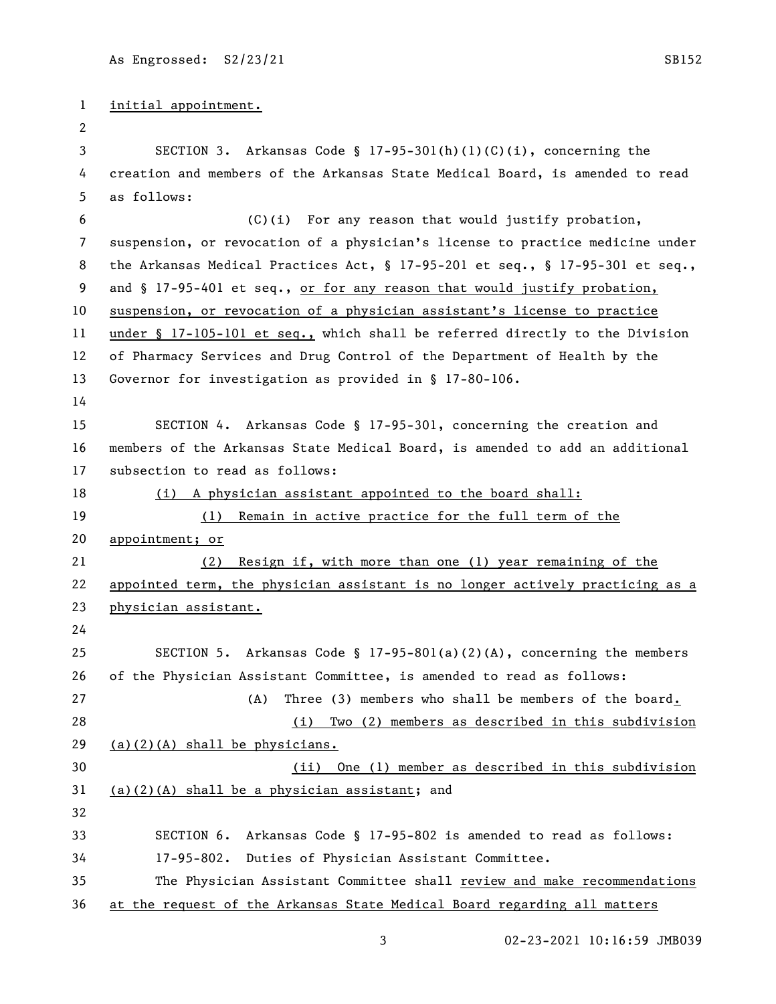```
1 initial appointment.
 2
 3 SECTION 3. Arkansas Code § 17-95-301(h)(1)(C)(i), concerning the 
4 creation and members of the Arkansas State Medical Board, is amended to read 
5 as follows:
 6 (C)(i) For any reason that would justify probation, 
7 suspension, or revocation of a physician's license to practice medicine under 
8 the Arkansas Medical Practices Act, § 17-95-201 et seq., § 17-95-301 et seq., 
9 and § 17-95-401 et seq., or for any reason that would justify probation,
10 suspension, or revocation of a physician assistant's license to practice 
11 under § 17-105-101 et seq., which shall be referred directly to the Division 
12 of Pharmacy Services and Drug Control of the Department of Health by the 
13 Governor for investigation as provided in § 17-80-106.
14
15 SECTION 4. Arkansas Code § 17-95-301, concerning the creation and 
16 members of the Arkansas State Medical Board, is amended to add an additional 
17 subsection to read as follows:
18 (i) A physician assistant appointed to the board shall:
19 (1) Remain in active practice for the full term of the 
20 appointment; or
21 (2) Resign if, with more than one (1) year remaining of the 
22 appointed term, the physician assistant is no longer actively practicing as a 
23 physician assistant.
24
25 SECTION 5. Arkansas Code § 17-95-801(a)(2)(A), concerning the members 
26 of the Physician Assistant Committee, is amended to read as follows:
27 (A) Three (3) members who shall be members of the board.
28 (i) Two (2) members as described in this subdivision 
29 (a)(2)(A) shall be physicians.
30 (ii) One (1) member as described in this subdivision 
31 (a)(2)(A) shall be a physician assistant; and
32
33 SECTION 6. Arkansas Code § 17-95-802 is amended to read as follows:
34 17-95-802. Duties of Physician Assistant Committee.
35 The Physician Assistant Committee shall review and make recommendations 
36 at the request of the Arkansas State Medical Board regarding all matters
```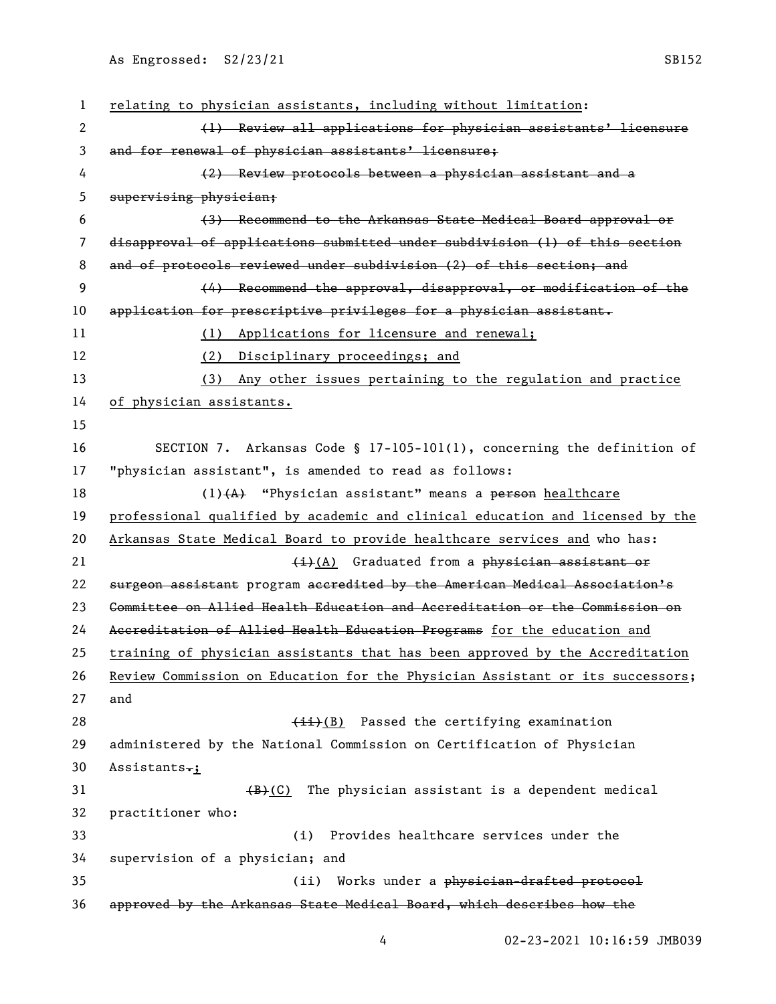| $\mathbf{1}$ | relating to physician assistants, including without limitation:               |
|--------------|-------------------------------------------------------------------------------|
| 2            | (1) Review all applications for physician assistants' licensure               |
| 3            | and for renewal of physician assistants' licensure;                           |
| 4            | (2) Review protocols between a physician assistant and a                      |
| 5            | supervising physician;                                                        |
| 6            | (3) Recommend to the Arkansas State Medical Board approval or                 |
| 7            | disapproval of applications submitted under subdivision (1) of this section   |
| 8            | and of protocols reviewed under subdivision (2) of this section; and          |
| 9            | (4) Recommend the approval, disapproval, or modification of the               |
| 10           | application for prescriptive privileges for a physician assistant.            |
| 11           | (1) Applications for licensure and renewal;                                   |
| 12           | (2) Disciplinary proceedings; and                                             |
| 13           | (3) Any other issues pertaining to the regulation and practice                |
| 14           | of physician assistants.                                                      |
| 15           |                                                                               |
| 16           | SECTION 7. Arkansas Code § 17-105-101(1), concerning the definition of        |
| 17           | "physician assistant", is amended to read as follows:                         |
| 18           | $(1)$ $(A)$ "Physician assistant" means a person healthcare                   |
| 19           | professional qualified by academic and clinical education and licensed by the |
| 20           | Arkansas State Medical Board to provide healthcare services and who has:      |
| 21           | $\frac{1}{2}$ Graduated from a physician assistant or                         |
| 22           | surgeon assistant program accredited by the American Medical Association's    |
| 23           | Committee on Allied Health Education and Accreditation or the Commission on   |
| 24           | Accreditation of Allied Health Education Programs for the education and       |
| 25           | training of physician assistants that has been approved by the Accreditation  |
| 26           | Review Commission on Education for the Physician Assistant or its successors; |
| 27           | and                                                                           |
| 28           | $(iii)(B)$ Passed the certifying examination                                  |
| 29           | administered by the National Commission on Certification of Physician         |
| 30           | Assistants.;                                                                  |
| 31           | The physician assistant is a dependent medical<br>(B)(C)                      |
| 32           | practitioner who:                                                             |
| 33           | Provides healthcare services under the<br>(i)                                 |
| 34           | supervision of a physician; and                                               |
| 35           | Works under a physician-drafted protocol<br>(ii)                              |
| 36           | approved by the Arkansas State Medical Board, which describes how the         |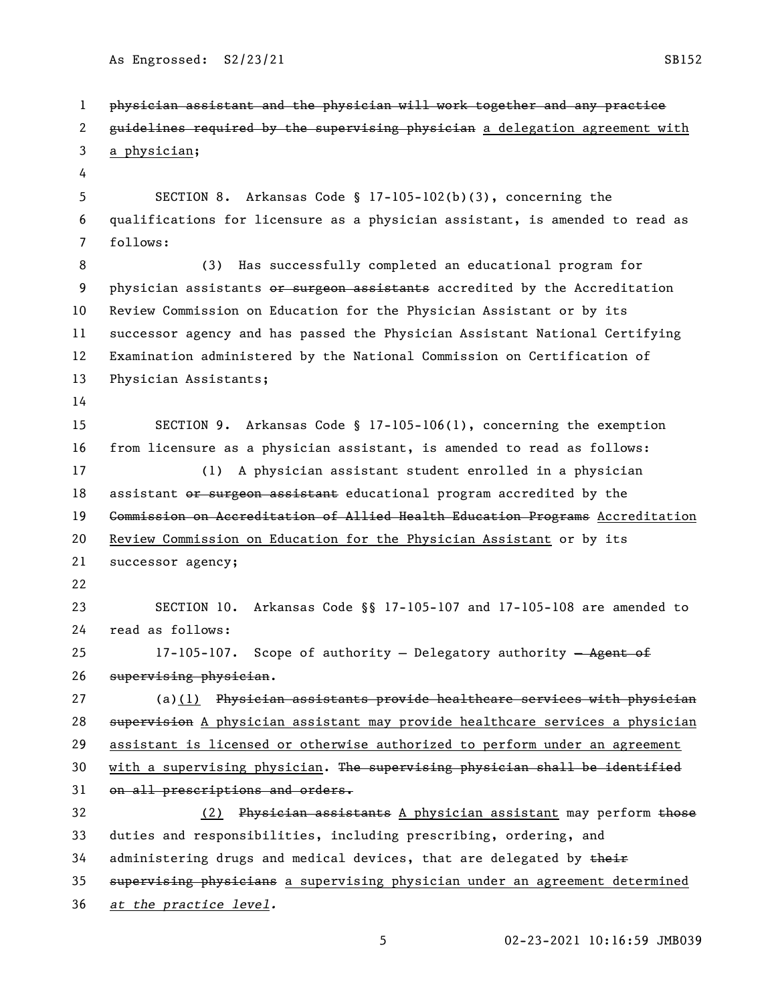As Engrossed: S2/23/21 SB152

 physician assistant and the physician will work together and any practice 2 guidelines required by the supervising physician a delegation agreement with a physician; SECTION 8. Arkansas Code § 17-105-102(b)(3), concerning the qualifications for licensure as a physician assistant, is amended to read as follows: (3) Has successfully completed an educational program for 9 physician assistants or surgeon assistants accredited by the Accreditation Review Commission on Education for the Physician Assistant or by its successor agency and has passed the Physician Assistant National Certifying Examination administered by the National Commission on Certification of Physician Assistants; SECTION 9. Arkansas Code § 17-105-106(1), concerning the exemption from licensure as a physician assistant, is amended to read as follows: (1) A physician assistant student enrolled in a physician 18 assistant or surgeon assistant educational program accredited by the 19 <del>Commission on Accreditation of Allied Health Education Programs</del> Accreditation Review Commission on Education for the Physician Assistant or by its successor agency; SECTION 10. Arkansas Code §§ 17-105-107 and 17-105-108 are amended to read as follows: 25 17-105-107. Scope of authority - Delegatory authority - Agent of supervising physician. 27 (a)(1) Physician assistants provide healthcare services with physician 28 supervision A physician assistant may provide healthcare services a physician assistant is licensed or otherwise authorized to perform under an agreement 30 with a supervising physician. The supervising physician shall be identified 31 on all prescriptions and orders. 32 (2) Physician assistants A physician assistant may perform those duties and responsibilities, including prescribing, ordering, and 34 administering drugs and medical devices, that are delegated by their 35 supervising physicians a supervising physician under an agreement determined *at the practice level.*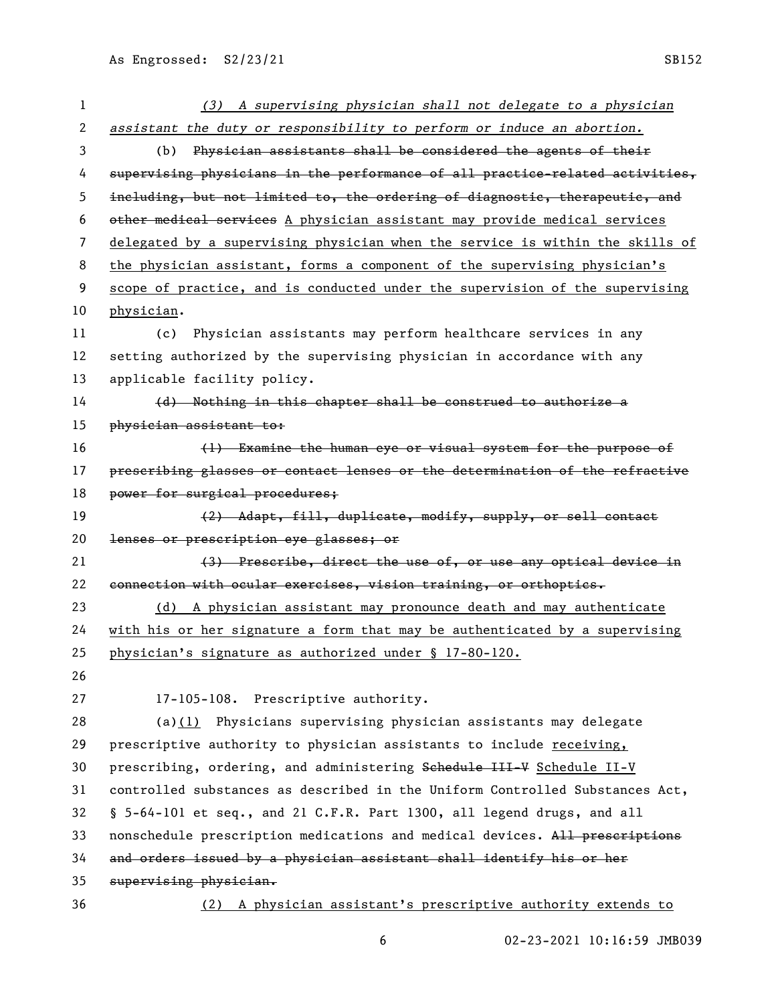| 1                     | (3) A supervising physician shall not delegate to a physician                 |
|-----------------------|-------------------------------------------------------------------------------|
| $\mathbf{2}^{\prime}$ | assistant the duty or responsibility to perform or induce an abortion.        |
| 3                     | Physician assistants shall be considered the agents of their<br>(b)           |
| 4                     | supervising physicians in the performance of all practice-related activities, |
| 5                     | including, but not limited to, the ordering of diagnostic, therapeutic, and   |
| 6                     | other medical services A physician assistant may provide medical services     |
| 7                     | delegated by a supervising physician when the service is within the skills of |
| 8                     | the physician assistant, forms a component of the supervising physician's     |
| 9                     | scope of practice, and is conducted under the supervision of the supervising  |
| 10                    | physician.                                                                    |
| 11                    | Physician assistants may perform healthcare services in any<br>(c)            |
| 12                    | setting authorized by the supervising physician in accordance with any        |
| 13                    | applicable facility policy.                                                   |
| 14                    | (d) Nothing in this chapter shall be construed to authorize a                 |
| 15                    | physician assistant to:                                                       |
| 16                    | (1) Examine the human eye or visual system for the purpose of                 |
| 17                    | prescribing glasses or contact lenses or the determination of the refractive  |
| 18                    | power for surgical procedures;                                                |
| 19                    | (2) Adapt, fill, duplicate, modify, supply, or sell contact                   |
| 20                    | lenses or prescription eye glasses; or                                        |
| 21                    | (3) Prescribe, direct the use of, or use any optical device in                |
| 22                    | connection with ocular exercises, vision training, or orthoptics.             |
| 23                    | (d) A physician assistant may pronounce death and may authenticate            |
| 24                    | with his or her signature a form that may be authenticated by a supervising   |
| 25                    | physician's signature as authorized under § 17-80-120.                        |
| 26                    |                                                                               |
| 27                    | 17-105-108. Prescriptive authority.                                           |
| 28                    | (a) $(1)$ Physicians supervising physician assistants may delegate            |
| 29                    | prescriptive authority to physician assistants to include receiving,          |
| 30                    | prescribing, ordering, and administering Schedule III-V Schedule II-V         |
| 31                    | controlled substances as described in the Uniform Controlled Substances Act,  |
| 32                    | § 5-64-101 et seq., and 21 C.F.R. Part 1300, all legend drugs, and all        |
| 33                    | nonschedule prescription medications and medical devices. All prescriptions   |
| 34                    | and orders issued by a physician assistant shall identify his or her          |
| 35                    | supervising physician.                                                        |
| 36                    | (2) A physician assistant's prescriptive authority extends to                 |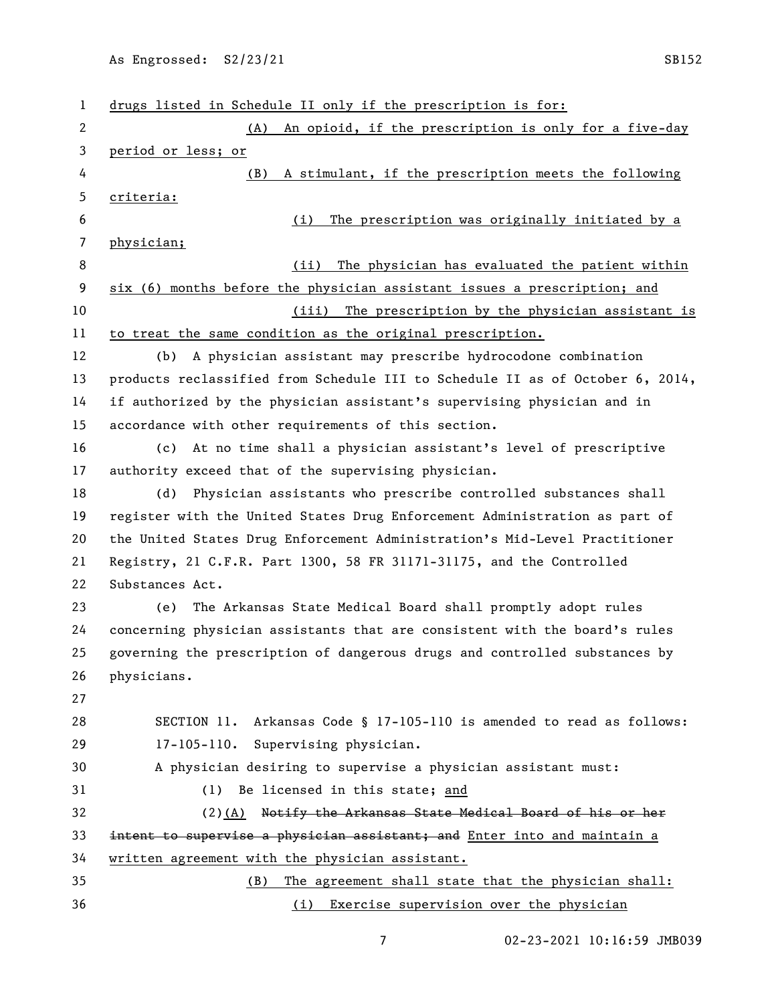| 1  | drugs listed in Schedule II only if the prescription is for:                  |
|----|-------------------------------------------------------------------------------|
| 2  | An opioid, if the prescription is only for a five-day<br>(A)                  |
| 3  | period or less; or                                                            |
| 4  | A stimulant, if the prescription meets the following<br>(B)                   |
| 5  | criteria:                                                                     |
| 6  | The prescription was originally initiated by a<br>(i)                         |
| 7  | physician;                                                                    |
| 8  | The physician has evaluated the patient within<br>(ii)                        |
| 9  | six (6) months before the physician assistant issues a prescription; and      |
| 10 | (iii) The prescription by the physician assistant is                          |
| 11 | to treat the same condition as the original prescription.                     |
| 12 | A physician assistant may prescribe hydrocodone combination<br>(b)            |
| 13 | products reclassified from Schedule III to Schedule II as of October 6, 2014, |
| 14 | if authorized by the physician assistant's supervising physician and in       |
| 15 | accordance with other requirements of this section.                           |
| 16 | At no time shall a physician assistant's level of prescriptive<br>(c)         |
| 17 | authority exceed that of the supervising physician.                           |
| 18 | Physician assistants who prescribe controlled substances shall<br>(d)         |
| 19 | register with the United States Drug Enforcement Administration as part of    |
| 20 | the United States Drug Enforcement Administration's Mid-Level Practitioner    |
| 21 | Registry, 21 C.F.R. Part 1300, 58 FR 31171-31175, and the Controlled          |
| 22 | Substances Act.                                                               |
| 23 | The Arkansas State Medical Board shall promptly adopt rules<br>(e)            |
| 24 | concerning physician assistants that are consistent with the board's rules    |
| 25 | governing the prescription of dangerous drugs and controlled substances by    |
| 26 | physicians.                                                                   |
| 27 |                                                                               |
| 28 | SECTION 11. Arkansas Code § 17-105-110 is amended to read as follows:         |
| 29 | 17-105-110. Supervising physician.                                            |
| 30 | A physician desiring to supervise a physician assistant must:                 |
| 31 | Be licensed in this state; and<br>(1)                                         |
| 32 | (2)(A) Notify the Arkansas State Medical Board of his or her                  |
| 33 | intent to supervise a physician assistant; and Enter into and maintain a      |
| 34 | written agreement with the physician assistant.                               |
| 35 | The agreement shall state that the physician shall:<br>(B)                    |
| 36 | (i) Exercise supervision over the physician                                   |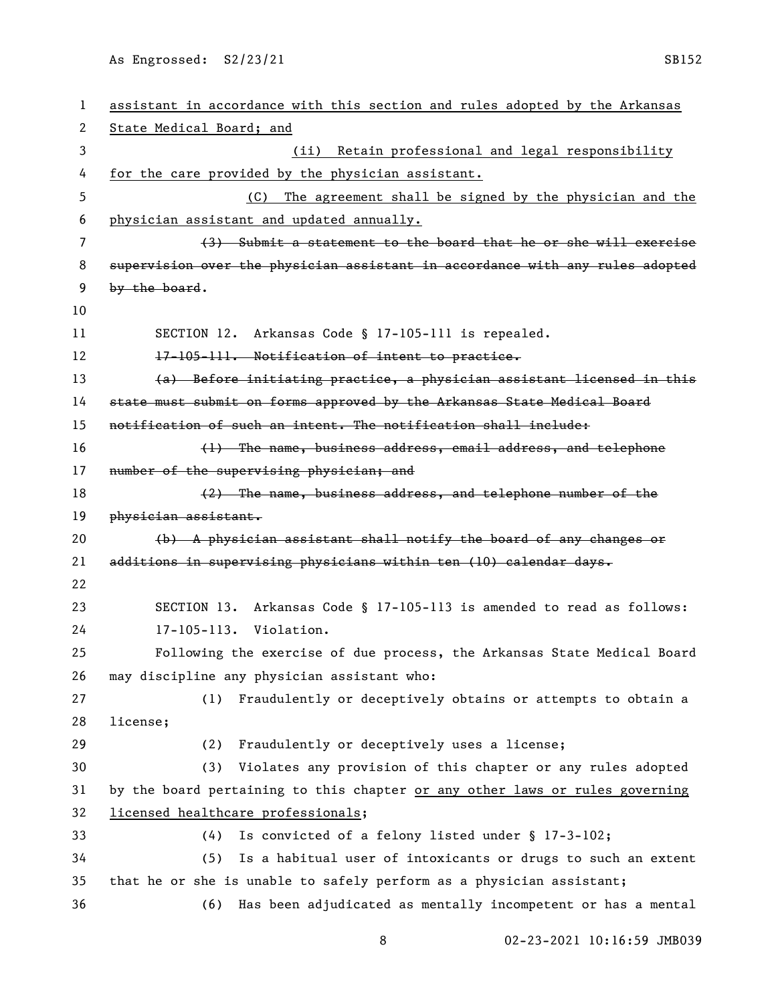As Engrossed: S2/23/21 SB152

| 1  | assistant in accordance with this section and rules adopted by the Arkansas   |
|----|-------------------------------------------------------------------------------|
| 2  | State Medical Board; and                                                      |
| 3  | Retain professional and legal responsibility<br>(ii)                          |
| 4  | for the care provided by the physician assistant.                             |
| 5  | The agreement shall be signed by the physician and the<br>(C)                 |
| 6  | physician assistant and updated annually.                                     |
| 7  | (3) Submit a statement to the board that he or she will exercise              |
| 8  | supervision over the physician assistant in accordance with any rules adopted |
| 9  | by the board.                                                                 |
| 10 |                                                                               |
| 11 | SECTION 12. Arkansas Code § 17-105-111 is repealed.                           |
| 12 | 17-105-111. Notification of intent to practice.                               |
| 13 | (a) Before initiating practice, a physician assistant licensed in this        |
| 14 | state must submit on forms approved by the Arkansas State Medical Board       |
| 15 | notification of such an intent. The notification shall include:               |
| 16 | (1) The name, business address, email address, and telephone                  |
| 17 | number of the supervising physician; and                                      |
| 18 | (2) The name, business address, and telephone number of the                   |
| 19 | physician assistant.                                                          |
| 20 | $(b)$ A physician assistant shall notify the board of any changes or          |
| 21 | additions in supervising physicians within ten (10) calendar days.            |
| 22 |                                                                               |
| 23 | SECTION 13. Arkansas Code § 17-105-113 is amended to read as follows:         |
| 24 | 17-105-113. Violation.                                                        |
| 25 | Following the exercise of due process, the Arkansas State Medical Board       |
| 26 | may discipline any physician assistant who:                                   |
| 27 | Fraudulently or deceptively obtains or attempts to obtain a<br>(1)            |
| 28 | license;                                                                      |
| 29 | Fraudulently or deceptively uses a license;<br>(2)                            |
| 30 | (3)<br>Violates any provision of this chapter or any rules adopted            |
| 31 | by the board pertaining to this chapter or any other laws or rules governing  |
| 32 | licensed healthcare professionals;                                            |
| 33 | Is convicted of a felony listed under § 17-3-102;<br>(4)                      |
| 34 | Is a habitual user of intoxicants or drugs to such an extent<br>(5)           |
| 35 | that he or she is unable to safely perform as a physician assistant;          |
| 36 | Has been adjudicated as mentally incompetent or has a mental<br>(6)           |
|    |                                                                               |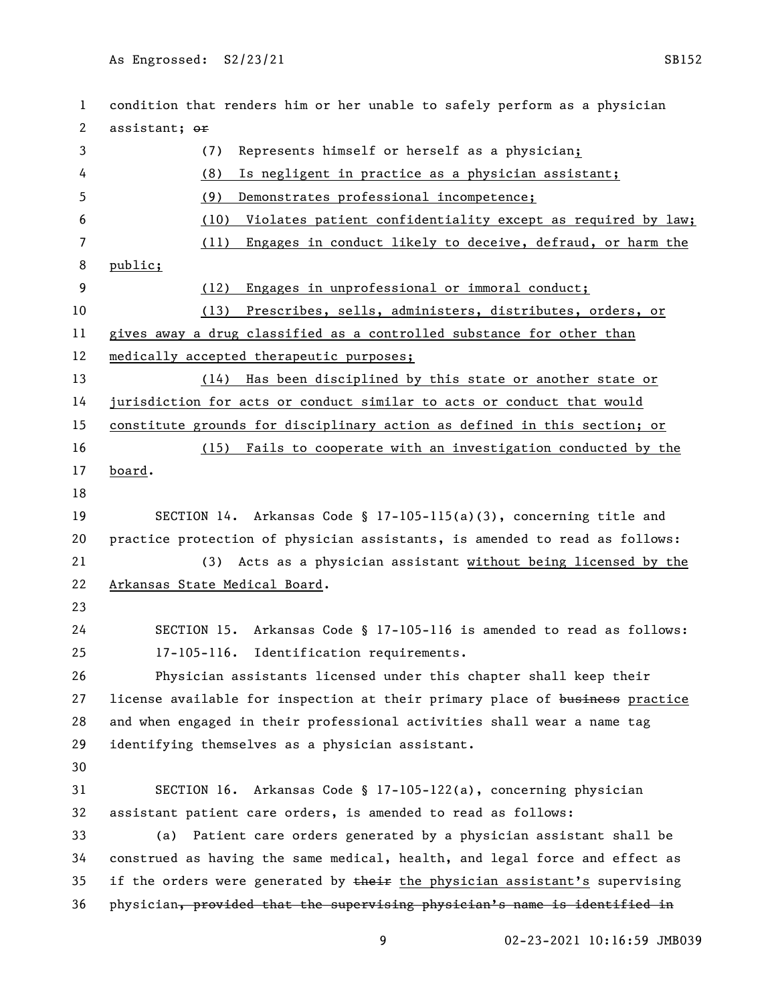condition that renders him or her unable to safely perform as a physician 2 assistant; or (7) Represents himself or herself as a physician; (8) Is negligent in practice as a physician assistant; (9) Demonstrates professional incompetence; (10) Violates patient confidentiality except as required by law; (11) Engages in conduct likely to deceive, defraud, or harm the public; (12) Engages in unprofessional or immoral conduct; (13) Prescribes, sells, administers, distributes, orders, or gives away a drug classified as a controlled substance for other than medically accepted therapeutic purposes; (14) Has been disciplined by this state or another state or jurisdiction for acts or conduct similar to acts or conduct that would constitute grounds for disciplinary action as defined in this section; or (15) Fails to cooperate with an investigation conducted by the board. SECTION 14. Arkansas Code § 17-105-115(a)(3), concerning title and practice protection of physician assistants, is amended to read as follows: (3) Acts as a physician assistant without being licensed by the Arkansas State Medical Board. SECTION 15. Arkansas Code § 17-105-116 is amended to read as follows: 17-105-116. Identification requirements. Physician assistants licensed under this chapter shall keep their 27 license available for inspection at their primary place of business practice and when engaged in their professional activities shall wear a name tag identifying themselves as a physician assistant. SECTION 16. Arkansas Code § 17-105-122(a), concerning physician assistant patient care orders, is amended to read as follows: (a) Patient care orders generated by a physician assistant shall be construed as having the same medical, health, and legal force and effect as 35 if the orders were generated by  $t$  their the physician assistant's supervising physician, provided that the supervising physician's name is identified in